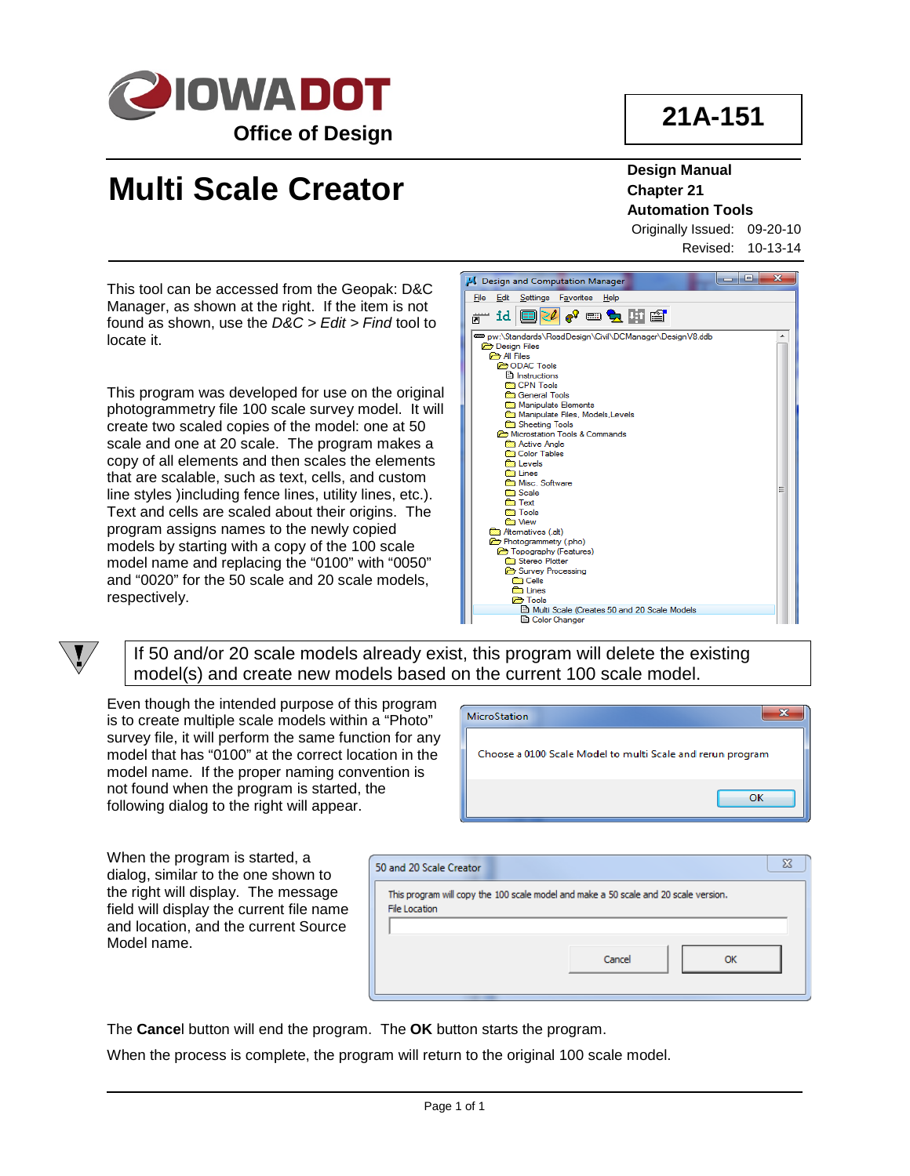

**21A-151**

## **Multi Scale Creator**

**Design Manual Chapter 21 Automation Tools**

Originally Issued: 09-20-10 Revised: 10-13-14

This tool can be accessed from the Geopak: D&C Manager, as shown at the right. If the item is not found as shown, use the *D&C > Edit > Find* tool to locate it.

This program was developed for use on the original photogrammetry file 100 scale survey model. It will create two scaled copies of the model: one at 50 scale and one at 20 scale. The program makes a copy of all elements and then scales the elements that are scalable, such as text, cells, and custom line styles )including fence lines, utility lines, etc.). Text and cells are scaled about their origins. The program assigns names to the newly copied models by starting with a copy of the 100 scale model name and replacing the "0100" with "0050" and "0020" for the 50 scale and 20 scale models, respectively.



If 50 and/or 20 scale models already exist, this program will delete the existing model(s) and create new models based on the current 100 scale model.

Even though the intended purpose of this program is to create multiple scale models within a "Photo" survey file, it will perform the same function for any model that has "0100" at the correct location in the model name. If the proper naming convention is not found when the program is started, the following dialog to the right will appear.

| <b>MicroStation</b>                                        |    |
|------------------------------------------------------------|----|
| Choose a 0100 Scale Model to multi Scale and rerun program |    |
|                                                            | OK |

When the program is started, a dialog, similar to the one shown to the right will display. The message field will display the current file name and location, and the current Source Model name.



The **Cance**l button will end the program. The **OK** button starts the program.

When the process is complete, the program will return to the original 100 scale model.